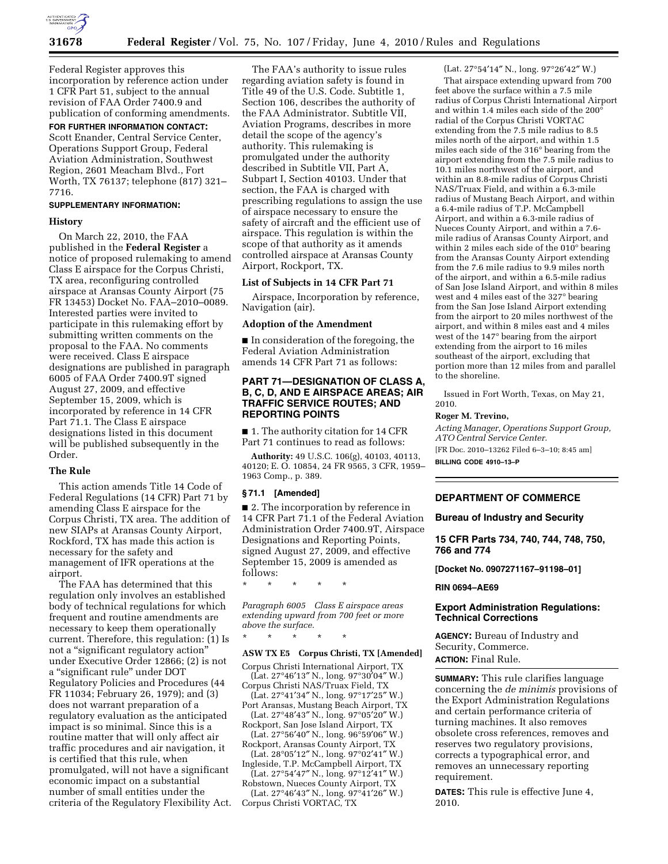

Federal Register approves this incorporation by reference action under 1 CFR Part 51, subject to the annual revision of FAA Order 7400.9 and publication of conforming amendments.

# **FOR FURTHER INFORMATION CONTACT:**

Scott Enander, Central Service Center, Operations Support Group, Federal Aviation Administration, Southwest Region, 2601 Meacham Blvd., Fort Worth, TX 76137; telephone (817) 321– 7716.

## **SUPPLEMENTARY INFORMATION:**

### **History**

On March 22, 2010, the FAA published in the **Federal Register** a notice of proposed rulemaking to amend Class E airspace for the Corpus Christi, TX area, reconfiguring controlled airspace at Aransas County Airport (75 FR 13453) Docket No. FAA–2010–0089. Interested parties were invited to participate in this rulemaking effort by submitting written comments on the proposal to the FAA. No comments were received. Class E airspace designations are published in paragraph 6005 of FAA Order 7400.9T signed August 27, 2009, and effective September 15, 2009, which is incorporated by reference in 14 CFR Part 71.1. The Class E airspace designations listed in this document will be published subsequently in the Order.

### **The Rule**

This action amends Title 14 Code of Federal Regulations (14 CFR) Part 71 by amending Class E airspace for the Corpus Christi, TX area. The addition of new SIAPs at Aransas County Airport, Rockford, TX has made this action is necessary for the safety and management of IFR operations at the airport.

The FAA has determined that this regulation only involves an established body of technical regulations for which frequent and routine amendments are necessary to keep them operationally current. Therefore, this regulation: (1) Is not a ''significant regulatory action'' under Executive Order 12866; (2) is not a ''significant rule'' under DOT Regulatory Policies and Procedures (44 FR 11034; February 26, 1979); and (3) does not warrant preparation of a regulatory evaluation as the anticipated impact is so minimal. Since this is a routine matter that will only affect air traffic procedures and air navigation, it is certified that this rule, when promulgated, will not have a significant economic impact on a substantial number of small entities under the criteria of the Regulatory Flexibility Act.

The FAA's authority to issue rules regarding aviation safety is found in Title 49 of the U.S. Code. Subtitle 1, Section 106, describes the authority of the FAA Administrator. Subtitle VII, Aviation Programs, describes in more detail the scope of the agency's authority. This rulemaking is promulgated under the authority described in Subtitle VII, Part A, Subpart I, Section 40103. Under that section, the FAA is charged with prescribing regulations to assign the use of airspace necessary to ensure the safety of aircraft and the efficient use of airspace. This regulation is within the scope of that authority as it amends controlled airspace at Aransas County Airport, Rockport, TX.

### **List of Subjects in 14 CFR Part 71**

Airspace, Incorporation by reference, Navigation (air).

#### **Adoption of the Amendment**

■ In consideration of the foregoing, the Federal Aviation Administration amends 14 CFR Part 71 as follows:

## **PART 71—DESIGNATION OF CLASS A, B, C, D, AND E AIRSPACE AREAS; AIR TRAFFIC SERVICE ROUTES; AND REPORTING POINTS**

■ 1. The authority citation for 14 CFR Part 71 continues to read as follows:

**Authority:** 49 U.S.C. 106(g), 40103, 40113, 40120; E. O. 10854, 24 FR 9565, 3 CFR, 1959– 1963 Comp., p. 389.

#### **§ 71.1 [Amended]**

■ 2. The incorporation by reference in 14 CFR Part 71.1 of the Federal Aviation Administration Order 7400.9T, Airspace Designations and Reporting Points, signed August 27, 2009, and effective September 15, 2009 is amended as follows:

\* \* \* \* \*

\* \* \* \* \*

*Paragraph 6005 Class E airspace areas extending upward from 700 feet or more above the surface.* 

# **ASW TX E5 Corpus Christi, TX [Amended]**

Corpus Christi International Airport, TX (Lat. 27°46′13″ N., long. 97°30′04″ W.) Corpus Christi NAS/Truax Field, TX

(Lat. 27°41′34″ N., long. 97°17′25″ W.)

Port Aransas, Mustang Beach Airport, TX (Lat. 27°48′43″ N., long. 97°05′20″ W.) Rockport, San Jose Island Airport, TX

 $(Lat. 27°56'40'' N., long. 96°59'06'' W.)$ 

Rockport, Aransas County Airport, TX (Lat. 28°05′12″ N., long. 97°02′41″ W.)

Ingleside, T.P. McCampbell Airport, TX (Lat. 27°54′47″ N., long. 97°12′41″ W.)

Robstown, Nueces County Airport, TX (Lat. 27°46′43″ N., long. 97°41′26″ W.)

Corpus Christi VORTAC, TX

#### (Lat. 27°54′14″ N., long. 97°26′42″ W.)

That airspace extending upward from 700 feet above the surface within a 7.5 mile radius of Corpus Christi International Airport and within 1.4 miles each side of the 200° radial of the Corpus Christi VORTAC extending from the 7.5 mile radius to 8.5 miles north of the airport, and within 1.5 miles each side of the 316° bearing from the airport extending from the 7.5 mile radius to 10.1 miles northwest of the airport, and within an 8.8-mile radius of Corpus Christi NAS/Truax Field, and within a 6.3-mile radius of Mustang Beach Airport, and within a 6.4-mile radius of T.P. McCampbell Airport, and within a 6.3-mile radius of Nueces County Airport, and within a 7.6 mile radius of Aransas County Airport, and within 2 miles each side of the 010° bearing from the Aransas County Airport extending from the 7.6 mile radius to 9.9 miles north of the airport, and within a 6.5-mile radius of San Jose Island Airport, and within 8 miles west and 4 miles east of the 327° bearing from the San Jose Island Airport extending from the airport to 20 miles northwest of the airport, and within 8 miles east and 4 miles west of the 147° bearing from the airport extending from the airport to 16 miles southeast of the airport, excluding that portion more than 12 miles from and parallel to the shoreline.

Issued in Fort Worth, Texas, on May 21, 2010.

#### **Roger M. Trevino,**

*Acting Manager, Operations Support Group, ATO Central Service Center.*  [FR Doc. 2010–13262 Filed 6–3–10; 8:45 am]

**BILLING CODE 4910–13–P** 

## **DEPARTMENT OF COMMERCE**

**Bureau of Industry and Security** 

**15 CFR Parts 734, 740, 744, 748, 750, 766 and 774** 

**[Docket No. 0907271167–91198–01]** 

#### **RIN 0694–AE69**

## **Export Administration Regulations: Technical Corrections**

**AGENCY:** Bureau of Industry and Security, Commerce. **ACTION:** Final Rule.

**SUMMARY:** This rule clarifies language

concerning the *de minimis* provisions of the Export Administration Regulations and certain performance criteria of turning machines. It also removes obsolete cross references, removes and reserves two regulatory provisions, corrects a typographical error, and removes an unnecessary reporting requirement.

**DATES:** This rule is effective June 4, 2010.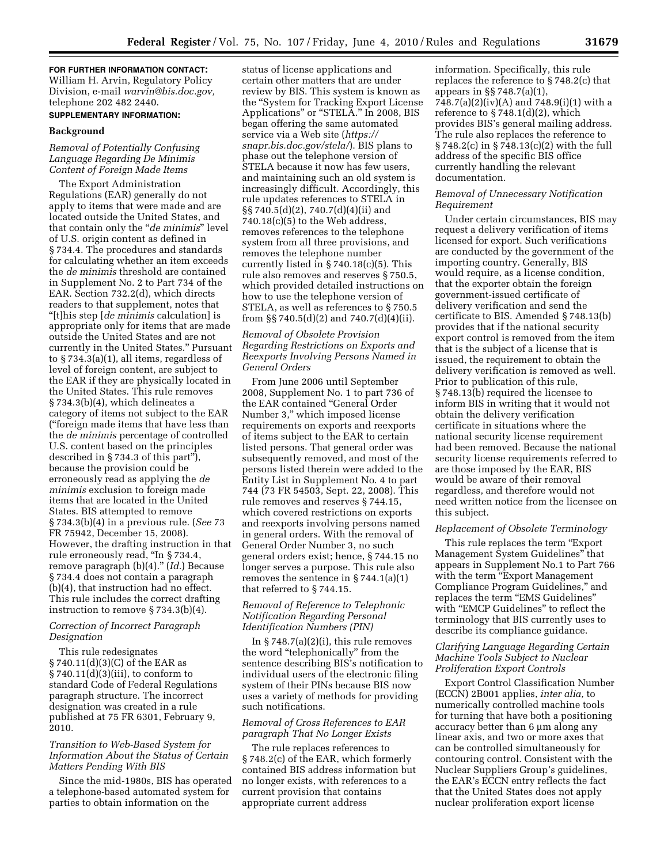# **FOR FURTHER INFORMATION CONTACT:**  William H. Arvin, Regulatory Policy Division, e-mail *warvin@bis.doc.gov,*  telephone 202 482 2440.

# **SUPPLEMENTARY INFORMATION:**

## **Background**

# *Removal of Potentially Confusing Language Regarding De Minimis Content of Foreign Made Items*

The Export Administration Regulations (EAR) generally do not apply to items that were made and are located outside the United States, and that contain only the ''*de minimis*'' level of U.S. origin content as defined in § 734.4. The procedures and standards for calculating whether an item exceeds the *de minimis* threshold are contained in Supplement No. 2 to Part 734 of the EAR. Section 732.2(d), which directs readers to that supplement, notes that ''[t]his step [*de minimis* calculation] is appropriate only for items that are made outside the United States and are not currently in the United States.'' Pursuant to § 734.3(a)(1), all items, regardless of level of foreign content, are subject to the EAR if they are physically located in the United States. This rule removes § 734.3(b)(4), which delineates a category of items not subject to the EAR (''foreign made items that have less than the *de minimis* percentage of controlled U.S. content based on the principles described in § 734.3 of this part''), because the provision could be erroneously read as applying the *de minimis* exclusion to foreign made items that are located in the United States. BIS attempted to remove § 734.3(b)(4) in a previous rule. (*See* 73 FR 75942, December 15, 2008). However, the drafting instruction in that rule erroneously read, ''In § 734.4, remove paragraph (b)(4).'' (*Id.*) Because § 734.4 does not contain a paragraph (b)(4), that instruction had no effect. This rule includes the correct drafting instruction to remove § 734.3(b)(4).

### *Correction of Incorrect Paragraph Designation*

This rule redesignates § 740.11(d)(3)(C) of the EAR as § 740.11(d)(3)(iii), to conform to standard Code of Federal Regulations paragraph structure. The incorrect designation was created in a rule published at 75 FR 6301, February 9, 2010.

## *Transition to Web-Based System for Information About the Status of Certain Matters Pending With BIS*

Since the mid-1980s, BIS has operated a telephone-based automated system for parties to obtain information on the

status of license applications and certain other matters that are under review by BIS. This system is known as the ''System for Tracking Export License Applications" or "STELA." In 2008, BIS began offering the same automated service via a Web site (*https:// snapr.bis.doc.gov/stela/*). BIS plans to phase out the telephone version of STELA because it now has few users, and maintaining such an old system is increasingly difficult. Accordingly, this rule updates references to STELA in §§ 740.5(d)(2), 740.7(d)(4)(ii) and  $740.18(c)(5)$  to the Web address, removes references to the telephone system from all three provisions, and removes the telephone number currently listed in  $\S 740.18(c)(5)$ . This rule also removes and reserves § 750.5, which provided detailed instructions on how to use the telephone version of STELA, as well as references to § 750.5 from  $\S$  740.5(d)(2) and 740.7(d)(4)(ii).

# *Removal of Obsolete Provision Regarding Restrictions on Exports and Reexports Involving Persons Named in General Orders*

From June 2006 until September 2008, Supplement No. 1 to part 736 of the EAR contained ''General Order Number 3," which imposed license requirements on exports and reexports of items subject to the EAR to certain listed persons. That general order was subsequently removed, and most of the persons listed therein were added to the Entity List in Supplement No. 4 to part 744 (73 FR 54503, Sept. 22, 2008). This rule removes and reserves § 744.15, which covered restrictions on exports and reexports involving persons named in general orders. With the removal of General Order Number 3, no such general orders exist; hence, § 744.15 no longer serves a purpose. This rule also removes the sentence in § 744.1(a)(1) that referred to § 744.15.

### *Removal of Reference to Telephonic Notification Regarding Personal Identification Numbers (PIN)*

In  $\S 748.7(a)(2)(i)$ , this rule removes the word ''telephonically'' from the sentence describing BIS's notification to individual users of the electronic filing system of their PINs because BIS now uses a variety of methods for providing such notifications.

### *Removal of Cross References to EAR paragraph That No Longer Exists*

The rule replaces references to § 748.2(c) of the EAR, which formerly contained BIS address information but no longer exists, with references to a current provision that contains appropriate current address

information. Specifically, this rule replaces the reference to § 748.2(c) that appears in §§ 748.7(a)(1), 748.7(a)(2)(iv)(A) and 748.9(i)(1) with a reference to § 748.1(d)(2), which provides BIS's general mailing address. The rule also replaces the reference to § 748.2(c) in § 748.13(c)(2) with the full address of the specific BIS office currently handling the relevant documentation.

### *Removal of Unnecessary Notification Requirement*

Under certain circumstances, BIS may request a delivery verification of items licensed for export. Such verifications are conducted by the government of the importing country. Generally, BIS would require, as a license condition, that the exporter obtain the foreign government-issued certificate of delivery verification and send the certificate to BIS. Amended § 748.13(b) provides that if the national security export control is removed from the item that is the subject of a license that is issued, the requirement to obtain the delivery verification is removed as well. Prior to publication of this rule, § 748.13(b) required the licensee to inform BIS in writing that it would not obtain the delivery verification certificate in situations where the national security license requirement had been removed. Because the national security license requirements referred to are those imposed by the EAR, BIS would be aware of their removal regardless, and therefore would not need written notice from the licensee on this subject.

### *Replacement of Obsolete Terminology*

This rule replaces the term "Export" Management System Guidelines'' that appears in Supplement No.1 to Part 766 with the term "Export Management Compliance Program Guidelines,'' and replaces the term "EMS Guidelines" with "EMCP Guidelines" to reflect the terminology that BIS currently uses to describe its compliance guidance.

# *Clarifying Language Regarding Certain Machine Tools Subject to Nuclear Proliferation Export Controls*

Export Control Classification Number (ECCN) 2B001 applies, *inter alia,* to numerically controlled machine tools for turning that have both a positioning accuracy better than 6 μm along any linear axis, and two or more axes that can be controlled simultaneously for contouring control. Consistent with the Nuclear Suppliers Group's guidelines, the EAR's ECCN entry reflects the fact that the United States does not apply nuclear proliferation export license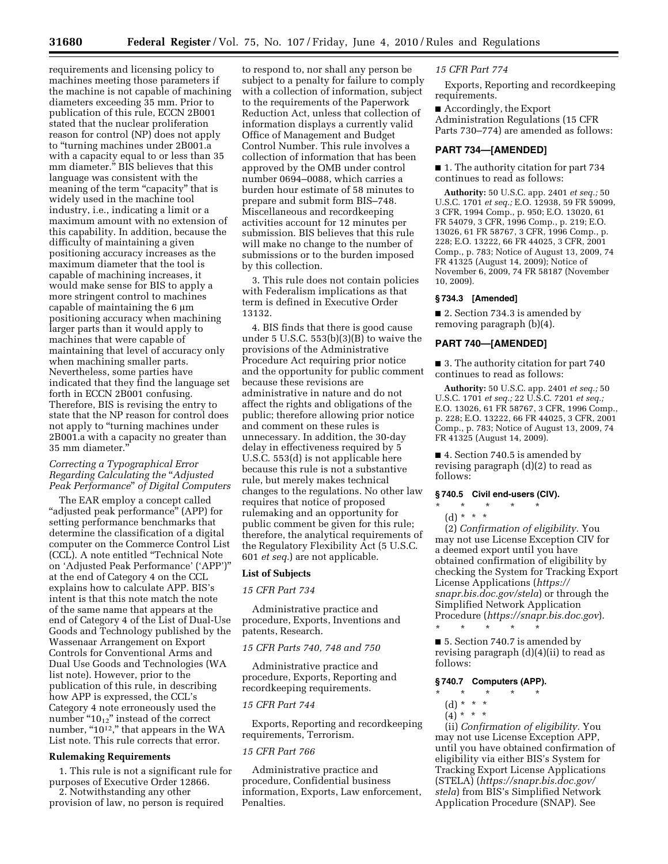requirements and licensing policy to machines meeting those parameters if the machine is not capable of machining diameters exceeding 35 mm. Prior to publication of this rule, ECCN 2B001 stated that the nuclear proliferation reason for control (NP) does not apply to ''turning machines under 2B001.a with a capacity equal to or less than 35 mm diameter.'' BIS believes that this language was consistent with the meaning of the term "capacity" that is widely used in the machine tool industry, i.e., indicating a limit or a maximum amount with no extension of this capability. In addition, because the difficulty of maintaining a given positioning accuracy increases as the maximum diameter that the tool is capable of machining increases, it would make sense for BIS to apply a more stringent control to machines capable of maintaining the 6 μm positioning accuracy when machining larger parts than it would apply to machines that were capable of maintaining that level of accuracy only when machining smaller parts. Nevertheless, some parties have indicated that they find the language set forth in ECCN 2B001 confusing. Therefore, BIS is revising the entry to state that the NP reason for control does not apply to ''turning machines under 2B001.a with a capacity no greater than 35 mm diameter.''

## *Correcting a Typographical Error Regarding Calculating the* ''*Adjusted Peak Performance*'' *of Digital Computers*

The EAR employ a concept called "adjusted peak performance" (APP) for setting performance benchmarks that determine the classification of a digital computer on the Commerce Control List (CCL). A note entitled ''Technical Note on 'Adjusted Peak Performance' ('APP')'' at the end of Category 4 on the CCL explains how to calculate APP. BIS's intent is that this note match the note of the same name that appears at the end of Category 4 of the List of Dual-Use Goods and Technology published by the Wassenaar Arrangement on Export Controls for Conventional Arms and Dual Use Goods and Technologies (WA list note). However, prior to the publication of this rule, in describing how APP is expressed, the CCL's Category 4 note erroneously used the number " $10_{12}$ " instead of the correct number, "10<sup>12</sup>," that appears in the WA List note. This rule corrects that error.

### **Rulemaking Requirements**

1. This rule is not a significant rule for purposes of Executive Order 12866. 2. Notwithstanding any other provision of law, no person is required

to respond to, nor shall any person be subject to a penalty for failure to comply with a collection of information, subject to the requirements of the Paperwork Reduction Act, unless that collection of information displays a currently valid Office of Management and Budget Control Number. This rule involves a collection of information that has been approved by the OMB under control number 0694–0088, which carries a burden hour estimate of 58 minutes to prepare and submit form BIS–748. Miscellaneous and recordkeeping activities account for 12 minutes per submission. BIS believes that this rule will make no change to the number of submissions or to the burden imposed by this collection.

3. This rule does not contain policies with Federalism implications as that term is defined in Executive Order 13132.

4. BIS finds that there is good cause under 5 U.S.C. 553(b)(3)(B) to waive the provisions of the Administrative Procedure Act requiring prior notice and the opportunity for public comment because these revisions are administrative in nature and do not affect the rights and obligations of the public; therefore allowing prior notice and comment on these rules is unnecessary. In addition, the 30-day delay in effectiveness required by 5 U.S.C. 553(d) is not applicable here because this rule is not a substantive rule, but merely makes technical changes to the regulations. No other law requires that notice of proposed rulemaking and an opportunity for public comment be given for this rule; therefore, the analytical requirements of the Regulatory Flexibility Act (5 U.S.C. 601 *et seq.*) are not applicable.

#### **List of Subjects**

#### *15 CFR Part 734*

Administrative practice and procedure, Exports, Inventions and patents, Research.

### *15 CFR Parts 740, 748 and 750*

Administrative practice and procedure, Exports, Reporting and recordkeeping requirements.

## *15 CFR Part 744*

Exports, Reporting and recordkeeping requirements, Terrorism.

### *15 CFR Part 766*

Administrative practice and procedure, Confidential business information, Exports, Law enforcement, Penalties.

#### *15 CFR Part 774*

Exports, Reporting and recordkeeping requirements.

■ Accordingly, the Export Administration Regulations (15 CFR Parts 730–774) are amended as follows:

### **PART 734—[AMENDED]**

■ 1. The authority citation for part 734 continues to read as follows:

**Authority:** 50 U.S.C. app. 2401 *et seq.;* 50 U.S.C. 1701 *et seq.;* E.O. 12938, 59 FR 59099, 3 CFR, 1994 Comp., p. 950; E.O. 13020, 61 FR 54079, 3 CFR, 1996 Comp., p. 219; E.O. 13026, 61 FR 58767, 3 CFR, 1996 Comp., p. 228; E.O. 13222, 66 FR 44025, 3 CFR, 2001 Comp., p. 783; Notice of August 13, 2009, 74 FR 41325 (August 14, 2009); Notice of November 6, 2009, 74 FR 58187 (November 10, 2009).

### **§ 734.3 [Amended]**

■ 2. Section 734.3 is amended by removing paragraph (b)(4).

# **PART 740—[AMENDED]**

■ 3. The authority citation for part 740 continues to read as follows:

**Authority:** 50 U.S.C. app. 2401 *et seq.;* 50 U.S.C. 1701 *et seq.;* 22 U.S.C. 7201 *et seq.;*  E.O. 13026, 61 FR 58767, 3 CFR, 1996 Comp., p. 228; E.O. 13222, 66 FR 44025, 3 CFR, 2001 Comp., p. 783; Notice of August 13, 2009, 74 FR 41325 (August 14, 2009).

■ 4. Section 740.5 is amended by revising paragraph (d)(2) to read as follows:

#### **§ 740.5 Civil end-users (CIV).**

- \* \* \* \* \*
- (d) \* \* \*

(2) *Confirmation of eligibility.* You may not use License Exception CIV for a deemed export until you have obtained confirmation of eligibility by checking the System for Tracking Export License Applications (*https:// snapr.bis.doc.gov/stela*) or through the Simplified Network Application Procedure (*https://snapr.bis.doc.gov*). \* \* \* \* \*

■ 5. Section 740.7 is amended by revising paragraph (d)(4)(ii) to read as follows:

## **§ 740.7 Computers (APP).**

- \* \* \* \* \*
- (d) \* \* \* \*
- $(4) * * * *$

(ii) *Confirmation of eligibility.* You may not use License Exception APP, until you have obtained confirmation of eligibility via either BIS's System for Tracking Export License Applications (STELA) (*https://snapr.bis.doc.gov/ stela*) from BIS's Simplified Network Application Procedure (SNAP). See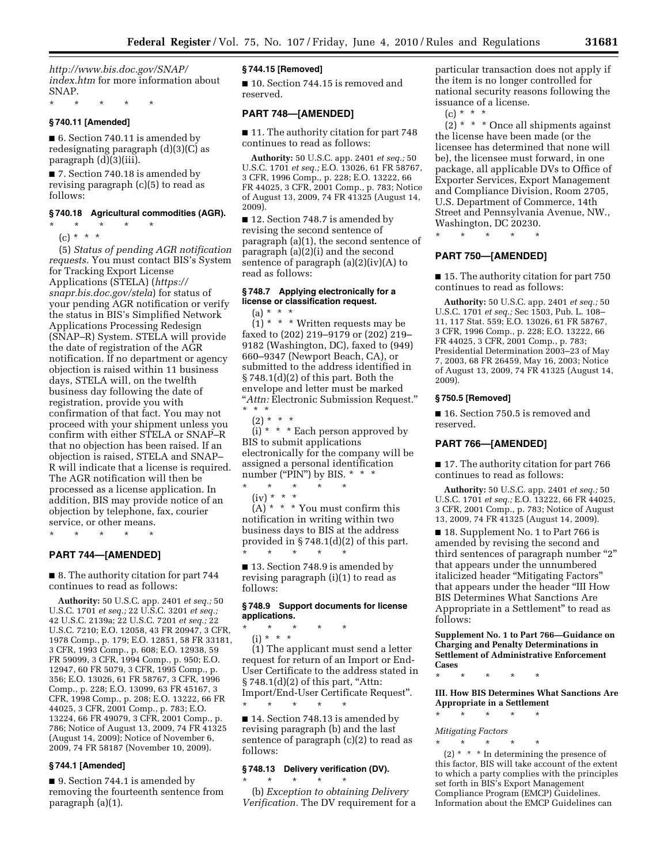*http://www.bis.doc.gov/SNAP/ index.htm* for more information about SNAP.

## **§ 740.11 [Amended]**

\* \* \* \* \*

■ 6. Section 740.11 is amended by redesignating paragraph (d)(3)(C) as paragraph (d)(3)(iii).

■ 7. Section 740.18 is amended by revising paragraph (c)(5) to read as follows:

# **§ 740.18 Agricultural commodities (AGR).**

\* \* \* \* \*  $(c) * * * *$ 

(5) *Status of pending AGR notification requests.* You must contact BIS's System for Tracking Export License Applications (STELA) (*https:// snapr.bis.doc.gov/stela*) for status of your pending AGR notification or verify the status in BIS's Simplified Network Applications Processing Redesign (SNAP–R) System. STELA will provide the date of registration of the AGR notification. If no department or agency objection is raised within 11 business days, STELA will, on the twelfth business day following the date of registration, provide you with confirmation of that fact. You may not proceed with your shipment unless you confirm with either STELA or SNAP–R that no objection has been raised. If an objection is raised, STELA and SNAP– R will indicate that a license is required. The AGR notification will then be processed as a license application. In addition, BIS may provide notice of an objection by telephone, fax, courier service, or other means.

# **PART 744—[AMENDED]**

\* \* \* \* \*

■ 8. The authority citation for part 744 continues to read as follows:

**Authority:** 50 U.S.C. app. 2401 *et seq.;* 50 U.S.C. 1701 *et seq.;* 22 U.S.C. 3201 *et seq.;*  42 U.S.C. 2139a; 22 U.S.C. 7201 *et seq.;* 22 U.S.C. 7210; E.O. 12058, 43 FR 20947, 3 CFR, 1978 Comp., p. 179; E.O. 12851, 58 FR 33181, 3 CFR, 1993 Comp., p. 608; E.O. 12938, 59 FR 59099, 3 CFR, 1994 Comp., p. 950; E.O. 12947, 60 FR 5079, 3 CFR, 1995 Comp., p. 356; E.O. 13026, 61 FR 58767, 3 CFR, 1996 Comp., p. 228; E.O. 13099, 63 FR 45167, 3 CFR, 1998 Comp., p. 208; E.O. 13222, 66 FR 44025, 3 CFR, 2001 Comp., p. 783; E.O. 13224, 66 FR 49079, 3 CFR, 2001 Comp., p. 786; Notice of August 13, 2009, 74 FR 41325 (August 14, 2009); Notice of November 6, 2009, 74 FR 58187 (November 10, 2009).

#### **§ 744.1 [Amended]**

■ 9. Section 744.1 is amended by removing the fourteenth sentence from paragraph (a)(1).

## **§ 744.15 [Removed]**

■ 10. Section 744.15 is removed and reserved.

### **PART 748—[AMENDED]**

■ 11. The authority citation for part 748 continues to read as follows:

**Authority:** 50 U.S.C. app. 2401 *et seq.;* 50 U.S.C. 1701 *et seq.;* E.O. 13026, 61 FR 58767, 3 CFR, 1996 Comp., p. 228; E.O. 13222, 66 FR 44025, 3 CFR, 2001 Comp., p. 783; Notice of August 13, 2009, 74 FR 41325 (August 14, 2009).

■ 12. Section 748.7 is amended by revising the second sentence of paragraph (a)(1), the second sentence of paragraph (a)(2)(i) and the second sentence of paragraph (a)(2)(iv)(A) to read as follows:

### **§ 748.7 Applying electronically for a license or classification request.**

 $(a) * * * *$ 

 $(1)$  \* \* \* Written requests may be faxed to (202) 219–9179 or (202) 219– 9182 (Washington, DC), faxed to (949) 660–9347 (Newport Beach, CA), or submitted to the address identified in § 748.1(d)(2) of this part. Both the envelope and letter must be marked ''*Attn:* Electronic Submission Request.'' \* \* \*

 $(2) * * * *$ 

 $(i) * * *$  Each person approved by BIS to submit applications electronically for the company will be assigned a personal identification number ("PIN") by BIS.  $* * *$ 

 $\star$   $\qquad$   $\star$   $\qquad$   $\star$  $(iv) * * * *$ 

 $(A)$ <sup>\*</sup> \* \* You must confirm this notification in writing within two business days to BIS at the address provided in § 748.1(d)(2) of this part. \* \* \* \* \*

■ 13. Section 748.9 is amended by revising paragraph (i)(1) to read as follows:

### **§ 748.9 Support documents for license applications.**

\* \* \* \* \*  $(i) * * * *$ 

(1) The applicant must send a letter request for return of an Import or End-User Certificate to the address stated in  $§ 748.1(d)(2)$  of this part, "Attn: Import/End-User Certificate Request''. \* \* \* \* \*

■ 14. Section 748.13 is amended by revising paragraph (b) and the last sentence of paragraph (c)(2) to read as follows:

### **§ 748.13 Delivery verification (DV).**

\* \* \* \* \*

(b) *Exception to obtaining Delivery Verification.* The DV requirement for a

particular transaction does not apply if the item is no longer controlled for national security reasons following the issuance of a license.

 $(c) * * * *$ 

 $(2)$  \* \* \* Once all shipments against the license have been made (or the licensee has determined that none will be), the licensee must forward, in one package, all applicable DVs to Office of Exporter Services, Export Management and Compliance Division, Room 2705, U.S. Department of Commerce, 14th Street and Pennsylvania Avenue, NW., Washington, DC 20230.

\* \* \* \* \*

### **PART 750—[AMENDED]**

■ 15. The authority citation for part 750 continues to read as follows:

**Authority:** 50 U.S.C. app. 2401 *et seq.;* 50 U.S.C. 1701 *et seq.;* Sec 1503, Pub. L. 108– 11, 117 Stat. 559; E.O. 13026, 61 FR 58767, 3 CFR, 1996 Comp., p. 228; E.O. 13222, 66 FR 44025, 3 CFR, 2001 Comp., p. 783; Presidential Determination 2003–23 of May 7, 2003, 68 FR 26459, May 16, 2003; Notice of August 13, 2009, 74 FR 41325 (August 14, 2009).

#### **§ 750.5 [Removed]**

■ 16. Section 750.5 is removed and reserved.

## **PART 766—[AMENDED]**

■ 17. The authority citation for part 766 continues to read as follows:

**Authority:** 50 U.S.C. app. 2401 *et seq.;* 50 U.S.C. 1701 *et seq.;* E.O. 13222, 66 FR 44025, 3 CFR, 2001 Comp., p. 783; Notice of August 13, 2009, 74 FR 41325 (August 14, 2009).

■ 18. Supplement No. 1 to Part 766 is amended by revising the second and third sentences of paragraph number "2" that appears under the unnumbered italicized header ''Mitigating Factors'' that appears under the header ''III How BIS Determines What Sanctions Are Appropriate in a Settlement'' to read as follows:

**Supplement No. 1 to Part 766—Guidance on Charging and Penalty Determinations in Settlement of Administrative Enforcement Cases** 

```
* * * * *
```
**III. How BIS Determines What Sanctions Are Appropriate in a Settlement** 

\* \* \* \* \*

# *Mitigating Factors*

\* \* \* \* \*  $(2)$  \* \* \* In determining the presence of this factor, BIS will take account of the extent to which a party complies with the principles set forth in BIS's Export Management Compliance Program (EMCP) Guidelines. Information about the EMCP Guidelines can